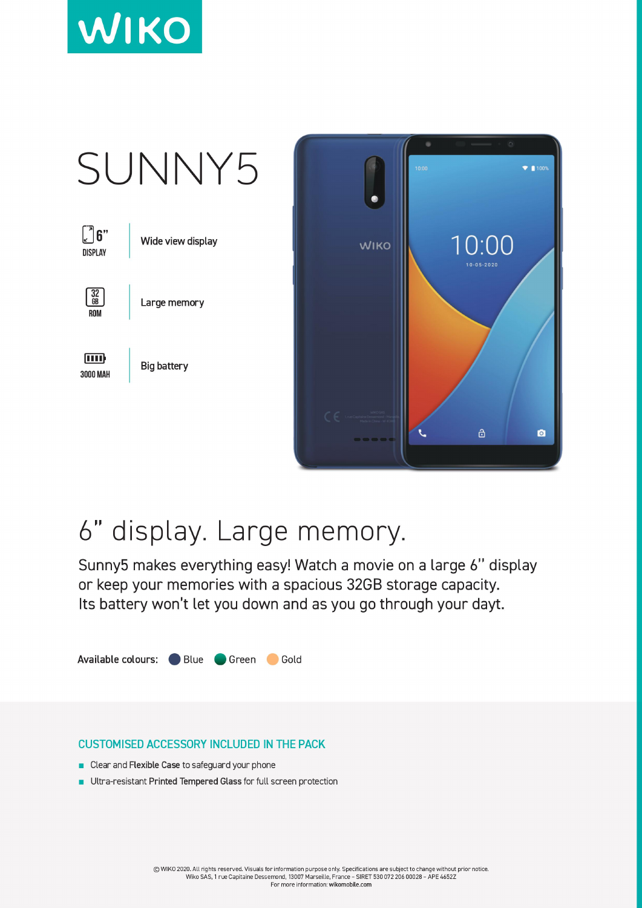



## 6" display. Large memory.

Sunny5 makes everything easy! Watch a movie on a large 6" display or keep your memories with a spacious 32GB storage capacity. Its battery won't let you down and as you go through your dayt.



## **CUSTOMISED ACCESSORY INCLUDED IN THE PACK**

- Clear and Flexible Case to safeguard your phone
- Ultra-resistant Printed Tempered Glass for full screen protection